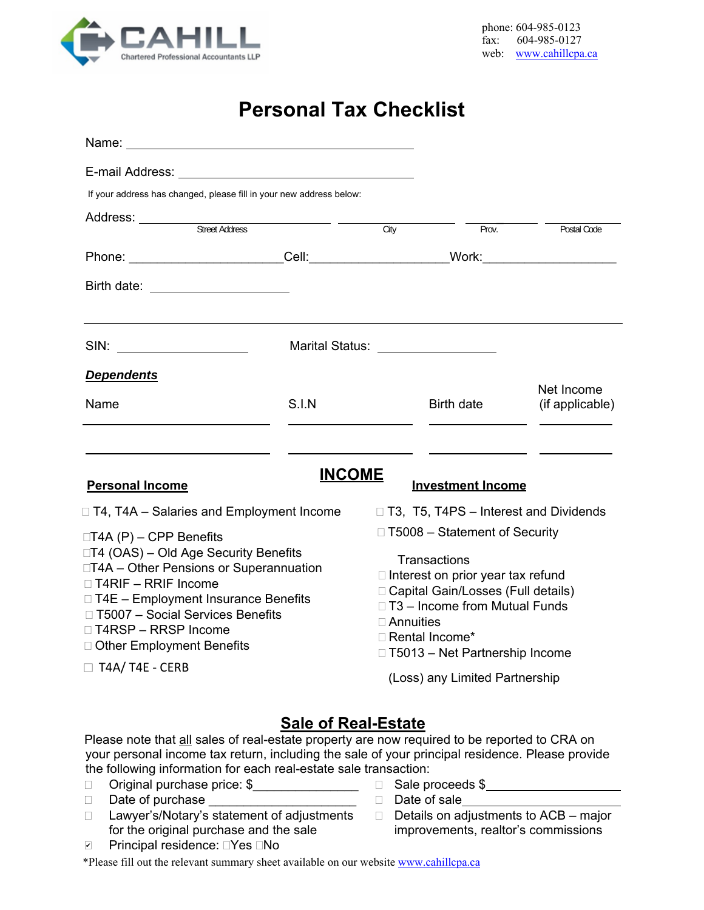

# **Personal Tax Checklist**

| Name:                                                                                                                                                                                                                                                 |                                   |                                                                                                                                                                                                                      |                                              |                               |  |
|-------------------------------------------------------------------------------------------------------------------------------------------------------------------------------------------------------------------------------------------------------|-----------------------------------|----------------------------------------------------------------------------------------------------------------------------------------------------------------------------------------------------------------------|----------------------------------------------|-------------------------------|--|
| E-mail Address: Universe Press and Press and Press and Press and Press and Press and Press and Press and Press                                                                                                                                        |                                   |                                                                                                                                                                                                                      |                                              |                               |  |
| If your address has changed, please fill in your new address below:                                                                                                                                                                                   |                                   |                                                                                                                                                                                                                      |                                              |                               |  |
|                                                                                                                                                                                                                                                       |                                   |                                                                                                                                                                                                                      |                                              |                               |  |
|                                                                                                                                                                                                                                                       |                                   | City                                                                                                                                                                                                                 | Prov.                                        | Postal Code                   |  |
|                                                                                                                                                                                                                                                       |                                   |                                                                                                                                                                                                                      |                                              |                               |  |
| Birth date: <u>_________________________________</u>                                                                                                                                                                                                  |                                   |                                                                                                                                                                                                                      |                                              |                               |  |
| SIN: _______________________                                                                                                                                                                                                                          | Marital Status: _________________ |                                                                                                                                                                                                                      |                                              |                               |  |
| <b>Dependents</b>                                                                                                                                                                                                                                     |                                   |                                                                                                                                                                                                                      |                                              |                               |  |
| Name                                                                                                                                                                                                                                                  | S.I.N                             |                                                                                                                                                                                                                      | Birth date                                   | Net Income<br>(if applicable) |  |
|                                                                                                                                                                                                                                                       | <b>INCOME</b>                     |                                                                                                                                                                                                                      |                                              |                               |  |
| <b>Personal Income</b>                                                                                                                                                                                                                                |                                   |                                                                                                                                                                                                                      | <b>Investment Income</b>                     |                               |  |
| □ T4, T4A – Salaries and Employment Income                                                                                                                                                                                                            |                                   |                                                                                                                                                                                                                      | $\Box$ T3, T5, T4PS – Interest and Dividends |                               |  |
| $\Box$ T4A (P) – CPP Benefits                                                                                                                                                                                                                         | □ T5008 - Statement of Security   |                                                                                                                                                                                                                      |                                              |                               |  |
| □T4 (OAS) – Old Age Security Benefits<br>□T4A - Other Pensions or Superannuation<br>$\Box$ T4RIF – RRIF Income<br>□ T4E - Employment Insurance Benefits<br>□ T5007 - Social Services Benefits<br>□ T4RSP - RRSP Income<br>□ Other Employment Benefits |                                   | Transactions<br>$\Box$ Interest on prior year tax refund<br>□ Capital Gain/Losses (Full details)<br>□ T3 - Income from Mutual Funds<br>$\Box$ Annuities<br>□ Rental Income*<br>$\Box$ T5013 – Net Partnership Income |                                              |                               |  |
| $\Box$ T4A/T4E - CERB                                                                                                                                                                                                                                 |                                   | (Loss) any Limited Partnership                                                                                                                                                                                       |                                              |                               |  |
|                                                                                                                                                                                                                                                       |                                   |                                                                                                                                                                                                                      |                                              |                               |  |

## **Sale of Real-Estate**

Please note that all sales of real-estate property are now required to be reported to CRA on your personal income tax return, including the sale of your principal residence. Please provide the following information for each real-estate sale transaction:<br>□ Original purchase price: \$ Sale proceeds \$

- $\Box$  Original purchase price:  $\$$
- □ Date of purchase <br>□ Date of sale
- $\Box$  Lawyer's/Notary's statement of adjustments  $\Box$  Details on adjustments to ACB major for the original purchase and the sale improvements, realtor's commissions
- 
- -

Principal residence: □Yes □No ✔

\*Please fill out the relevant summary sheet available on our website www.cahillcpa.ca